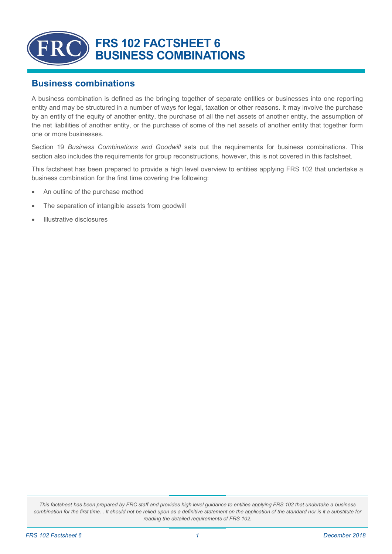

## **Business combinations**

A business combination is defined as the bringing together of separate entities or businesses into one reporting entity and may be structured in a number of ways for legal, taxation or other reasons. It may involve the purchase by an entity of the equity of another entity, the purchase of all the net assets of another entity, the assumption of the net liabilities of another entity, or the purchase of some of the net assets of another entity that together form one or more businesses.

Section 19 *Business Combinations and Goodwill* sets out the requirements for business combinations. This section also includes the requirements for group reconstructions, however, this is not covered in this factsheet.

This factsheet has been prepared to provide a high level overview to entities applying FRS 102 that undertake a business combination for the first time covering the following:

- An outline of the purchase method
- The separation of intangible assets from goodwill
- Illustrative disclosures

*This factsheet has been prepared by FRC staff and provides high level guidance to entities applying FRS 102 that undertake a business combination for the first time. . It should not be relied upon as a definitive statement on the application of the standard nor is it a substitute for reading the detailed requirements of FRS 102.*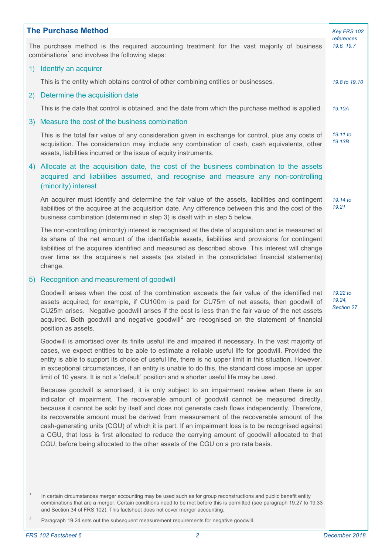| <b>The Purchase Method</b>                                                                                                                                |                                                                                                                                                                                                                                                                                                                                                                                                                                                                                                                                                                                                                                                                                  |                    |  |  |  |
|-----------------------------------------------------------------------------------------------------------------------------------------------------------|----------------------------------------------------------------------------------------------------------------------------------------------------------------------------------------------------------------------------------------------------------------------------------------------------------------------------------------------------------------------------------------------------------------------------------------------------------------------------------------------------------------------------------------------------------------------------------------------------------------------------------------------------------------------------------|--------------------|--|--|--|
| The purchase method is the required accounting treatment for the vast majority of business<br>combinations <sup>1</sup> and involves the following steps: |                                                                                                                                                                                                                                                                                                                                                                                                                                                                                                                                                                                                                                                                                  |                    |  |  |  |
|                                                                                                                                                           | 1) Identify an acquirer                                                                                                                                                                                                                                                                                                                                                                                                                                                                                                                                                                                                                                                          |                    |  |  |  |
|                                                                                                                                                           | This is the entity which obtains control of other combining entities or businesses.                                                                                                                                                                                                                                                                                                                                                                                                                                                                                                                                                                                              | 19.8 to 19.10      |  |  |  |
| 2)                                                                                                                                                        | Determine the acquisition date                                                                                                                                                                                                                                                                                                                                                                                                                                                                                                                                                                                                                                                   |                    |  |  |  |
|                                                                                                                                                           | This is the date that control is obtained, and the date from which the purchase method is applied.                                                                                                                                                                                                                                                                                                                                                                                                                                                                                                                                                                               | 19.10A             |  |  |  |
| 3)                                                                                                                                                        | Measure the cost of the business combination                                                                                                                                                                                                                                                                                                                                                                                                                                                                                                                                                                                                                                     |                    |  |  |  |
|                                                                                                                                                           | This is the total fair value of any consideration given in exchange for control, plus any costs of<br>acquisition. The consideration may include any combination of cash, cash equivalents, other<br>assets, liabilities incurred or the issue of equity instruments.                                                                                                                                                                                                                                                                                                                                                                                                            | 19.11 to<br>19.13B |  |  |  |
| 4)                                                                                                                                                        | Allocate at the acquisition date, the cost of the business combination to the assets<br>acquired and liabilities assumed, and recognise and measure any non-controlling<br>(minority) interest                                                                                                                                                                                                                                                                                                                                                                                                                                                                                   |                    |  |  |  |
|                                                                                                                                                           | An acquirer must identify and determine the fair value of the assets, liabilities and contingent<br>liabilities of the acquiree at the acquisition date. Any difference between this and the cost of the<br>business combination (determined in step 3) is dealt with in step 5 below.                                                                                                                                                                                                                                                                                                                                                                                           | 19.14 to<br>19.21  |  |  |  |
|                                                                                                                                                           | The non-controlling (minority) interest is recognised at the date of acquisition and is measured at<br>its share of the net amount of the identifiable assets, liabilities and provisions for contingent<br>liabilities of the acquiree identified and measured as described above. This interest will change<br>over time as the acquiree's net assets (as stated in the consolidated financial statements)<br>change.                                                                                                                                                                                                                                                          |                    |  |  |  |
|                                                                                                                                                           | 5) Recognition and measurement of goodwill                                                                                                                                                                                                                                                                                                                                                                                                                                                                                                                                                                                                                                       |                    |  |  |  |
|                                                                                                                                                           | Goodwill arises when the cost of the combination exceeds the fair value of the identified net<br>assets acquired; for example, if CU100m is paid for CU75m of net assets, then goodwill of<br>CU25m arises. Negative goodwill arises if the cost is less than the fair value of the net assets<br>acquired. Both goodwill and negative goodwill <sup>2</sup> are recognised on the statement of financial<br>position as assets.                                                                                                                                                                                                                                                 |                    |  |  |  |
|                                                                                                                                                           | Goodwill is amortised over its finite useful life and impaired if necessary. In the vast majority of<br>cases, we expect entities to be able to estimate a reliable useful life for goodwill. Provided the<br>entity is able to support its choice of useful life, there is no upper limit in this situation. However,<br>in exceptional circumstances, if an entity is unable to do this, the standard does impose an upper<br>limit of 10 years. It is not a 'default' position and a shorter useful life may be used.                                                                                                                                                         |                    |  |  |  |
|                                                                                                                                                           | Because goodwill is amortised, it is only subject to an impairment review when there is an<br>indicator of impairment. The recoverable amount of goodwill cannot be measured directly,<br>because it cannot be sold by itself and does not generate cash flows independently. Therefore,<br>its recoverable amount must be derived from measurement of the recoverable amount of the<br>cash-generating units (CGU) of which it is part. If an impairment loss is to be recognised against<br>a CGU, that loss is first allocated to reduce the carrying amount of goodwill allocated to that<br>CGU, before being allocated to the other assets of the CGU on a pro rata basis. |                    |  |  |  |
| $\overline{1}$                                                                                                                                            | In certain circumstances merger accounting may be used such as for group reconstructions and public benefit entity<br>combinations that are a merger. Certain conditions need to be met before this is permitted (see paragraph 19.27 to 19.33<br>and Section 34 of FRS 102). This factsheet does not cover merger accounting.                                                                                                                                                                                                                                                                                                                                                   |                    |  |  |  |
| $\overline{c}$                                                                                                                                            | Paragraph 19.24 sets out the subsequent measurement requirements for negative goodwill.                                                                                                                                                                                                                                                                                                                                                                                                                                                                                                                                                                                          |                    |  |  |  |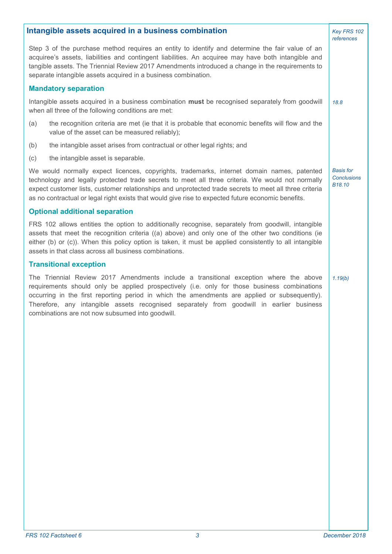| Intangible assets acquired in a business combination                                                                                                                                                                                                                                                                                                                                                                                   |                                                  |  |  |  |  |
|----------------------------------------------------------------------------------------------------------------------------------------------------------------------------------------------------------------------------------------------------------------------------------------------------------------------------------------------------------------------------------------------------------------------------------------|--------------------------------------------------|--|--|--|--|
| Step 3 of the purchase method requires an entity to identify and determine the fair value of an<br>acquiree's assets, liabilities and contingent liabilities. An acquiree may have both intangible and<br>tangible assets. The Triennial Review 2017 Amendments introduced a change in the requirements to<br>separate intangible assets acquired in a business combination.                                                           |                                                  |  |  |  |  |
| <b>Mandatory separation</b>                                                                                                                                                                                                                                                                                                                                                                                                            |                                                  |  |  |  |  |
| Intangible assets acquired in a business combination must be recognised separately from goodwill<br>when all three of the following conditions are met:                                                                                                                                                                                                                                                                                | 18.8                                             |  |  |  |  |
| the recognition criteria are met (ie that it is probable that economic benefits will flow and the<br>(a)<br>value of the asset can be measured reliably);                                                                                                                                                                                                                                                                              |                                                  |  |  |  |  |
| the intangible asset arises from contractual or other legal rights; and<br>(b)                                                                                                                                                                                                                                                                                                                                                         |                                                  |  |  |  |  |
| (c)<br>the intangible asset is separable.                                                                                                                                                                                                                                                                                                                                                                                              |                                                  |  |  |  |  |
| We would normally expect licences, copyrights, trademarks, internet domain names, patented<br>technology and legally protected trade secrets to meet all three criteria. We would not normally<br>expect customer lists, customer relationships and unprotected trade secrets to meet all three criteria<br>as no contractual or legal right exists that would give rise to expected future economic benefits.                         | <b>Basis for</b><br><b>Conclusions</b><br>B18.10 |  |  |  |  |
| <b>Optional additional separation</b>                                                                                                                                                                                                                                                                                                                                                                                                  |                                                  |  |  |  |  |
| FRS 102 allows entities the option to additionally recognise, separately from goodwill, intangible<br>assets that meet the recognition criteria ((a) above) and only one of the other two conditions (ie<br>either (b) or (c)). When this policy option is taken, it must be applied consistently to all intangible<br>assets in that class across all business combinations.                                                          |                                                  |  |  |  |  |
| <b>Transitional exception</b>                                                                                                                                                                                                                                                                                                                                                                                                          |                                                  |  |  |  |  |
| The Triennial Review 2017 Amendments include a transitional exception where the above<br>requirements should only be applied prospectively (i.e. only for those business combinations<br>occurring in the first reporting period in which the amendments are applied or subsequently).<br>Therefore, any intangible assets recognised separately from goodwill in earlier business<br>combinations are not now subsumed into goodwill. |                                                  |  |  |  |  |
|                                                                                                                                                                                                                                                                                                                                                                                                                                        |                                                  |  |  |  |  |
|                                                                                                                                                                                                                                                                                                                                                                                                                                        |                                                  |  |  |  |  |
|                                                                                                                                                                                                                                                                                                                                                                                                                                        |                                                  |  |  |  |  |
|                                                                                                                                                                                                                                                                                                                                                                                                                                        |                                                  |  |  |  |  |
|                                                                                                                                                                                                                                                                                                                                                                                                                                        |                                                  |  |  |  |  |
|                                                                                                                                                                                                                                                                                                                                                                                                                                        |                                                  |  |  |  |  |
|                                                                                                                                                                                                                                                                                                                                                                                                                                        |                                                  |  |  |  |  |
|                                                                                                                                                                                                                                                                                                                                                                                                                                        |                                                  |  |  |  |  |
|                                                                                                                                                                                                                                                                                                                                                                                                                                        |                                                  |  |  |  |  |
|                                                                                                                                                                                                                                                                                                                                                                                                                                        |                                                  |  |  |  |  |
|                                                                                                                                                                                                                                                                                                                                                                                                                                        |                                                  |  |  |  |  |
|                                                                                                                                                                                                                                                                                                                                                                                                                                        |                                                  |  |  |  |  |
|                                                                                                                                                                                                                                                                                                                                                                                                                                        |                                                  |  |  |  |  |
|                                                                                                                                                                                                                                                                                                                                                                                                                                        |                                                  |  |  |  |  |
|                                                                                                                                                                                                                                                                                                                                                                                                                                        |                                                  |  |  |  |  |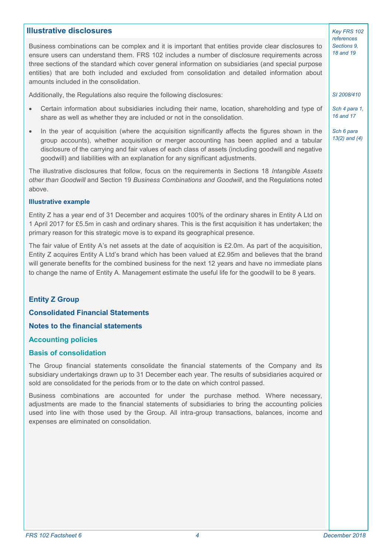## **Illustrative disclosures**

Business combinations can be complex and it is important that entities provide clear disclosures to ensure users can understand them. FRS 102 includes a number of disclosure requirements across three sections of the standard which cover general information on subsidiaries (and special purpose entities) that are both included and excluded from consolidation and detailed information about amounts included in the consolidation.

Additionally, the Regulations also require the following disclosures:

- Certain information about subsidiaries including their name, location, shareholding and type of share as well as whether they are included or not in the consolidation.
- In the year of acquisition (where the acquisition significantly affects the figures shown in the group accounts), whether acquisition or merger accounting has been applied and a tabular disclosure of the carrying and fair values of each class of assets (including goodwill and negative goodwill) and liabilities with an explanation for any significant adjustments.

The illustrative disclosures that follow, focus on the requirements in Sections 18 *Intangible Assets other than Goodwill* and Section 19 *Business Combinations and Goodwill*, and the Regulations noted above.

#### **Illustrative example**

Entity Z has a year end of 31 December and acquires 100% of the ordinary shares in Entity A Ltd on 1 April 2017 for £5.5m in cash and ordinary shares. This is the first acquisition it has undertaken; the primary reason for this strategic move is to expand its geographical presence.

The fair value of Entity A's net assets at the date of acquisition is £2.0m. As part of the acquisition, Entity Z acquires Entity A Ltd's brand which has been valued at £2.95m and believes that the brand will generate benefits for the combined business for the next 12 years and have no immediate plans to change the name of Entity A. Management estimate the useful life for the goodwill to be 8 years.

#### **Entity Z Group**

#### **Consolidated Financial Statements**

**Notes to the financial statements**

## **Accounting policies**

#### **Basis of consolidation**

The Group financial statements consolidate the financial statements of the Company and its subsidiary undertakings drawn up to 31 December each year. The results of subsidiaries acquired or sold are consolidated for the periods from or to the date on which control passed.

Business combinations are accounted for under the purchase method. Where necessary, adjustments are made to the financial statements of subsidiaries to bring the accounting policies used into line with those used by the Group. All intra-group transactions, balances, income and expenses are eliminated on consolidation.

*Key FRS 102 references Sections 9, 18 and 19*

*SI 2008/410* 

*Sch 4 para 1, 16 and 17*

*Sch 6 para 13(2) and (4)*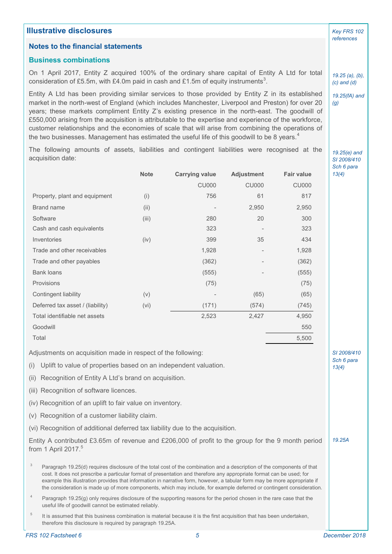| <b>Illustrative disclosures</b>                                                                                                                                                                                                                                                                                                                                                                                                                                                                                                                                                                                                          |             |                       |                   |                   |                     |  |  |
|------------------------------------------------------------------------------------------------------------------------------------------------------------------------------------------------------------------------------------------------------------------------------------------------------------------------------------------------------------------------------------------------------------------------------------------------------------------------------------------------------------------------------------------------------------------------------------------------------------------------------------------|-------------|-----------------------|-------------------|-------------------|---------------------|--|--|
| <b>Notes to the financial statements</b>                                                                                                                                                                                                                                                                                                                                                                                                                                                                                                                                                                                                 |             |                       |                   |                   |                     |  |  |
| <b>Business combinations</b>                                                                                                                                                                                                                                                                                                                                                                                                                                                                                                                                                                                                             |             |                       |                   |                   |                     |  |  |
| On 1 April 2017, Entity Z acquired 100% of the ordinary share capital of Entity A Ltd for total<br>consideration of £5.5m, with £4.0m paid in cash and £1.5m of equity instruments <sup>3</sup> .                                                                                                                                                                                                                                                                                                                                                                                                                                        |             |                       |                   |                   |                     |  |  |
| Entity A Ltd has been providing similar services to those provided by Entity Z in its established<br>market in the north-west of England (which includes Manchester, Liverpool and Preston) for over 20<br>years; these markets compliment Entity Z's existing presence in the north-east. The goodwill of<br>£550,000 arising from the acquisition is attributable to the expertise and experience of the workforce,<br>customer relationships and the economies of scale that will arise from combining the operations of<br>the two businesses. Management has estimated the useful life of this goodwill to be 8 years. <sup>4</sup> |             |                       |                   |                   |                     |  |  |
| The following amounts of assets, liabilities and contingent liabilities were recognised at the<br>acquisition date:                                                                                                                                                                                                                                                                                                                                                                                                                                                                                                                      |             |                       |                   |                   |                     |  |  |
|                                                                                                                                                                                                                                                                                                                                                                                                                                                                                                                                                                                                                                          | <b>Note</b> | <b>Carrying value</b> | <b>Adjustment</b> | <b>Fair value</b> | Sch 6 para<br>13(4) |  |  |
|                                                                                                                                                                                                                                                                                                                                                                                                                                                                                                                                                                                                                                          |             | <b>CU000</b>          | <b>CU000</b>      | <b>CU000</b>      |                     |  |  |
| Property, plant and equipment                                                                                                                                                                                                                                                                                                                                                                                                                                                                                                                                                                                                            | (i)         | 756                   | 61                | 817               |                     |  |  |
| <b>Brand name</b>                                                                                                                                                                                                                                                                                                                                                                                                                                                                                                                                                                                                                        | (ii)        |                       | 2,950             | 2,950             |                     |  |  |
| Software                                                                                                                                                                                                                                                                                                                                                                                                                                                                                                                                                                                                                                 | (iii)       | 280                   | 20                | 300               |                     |  |  |
| Cash and cash equivalents                                                                                                                                                                                                                                                                                                                                                                                                                                                                                                                                                                                                                |             | 323                   |                   | 323               |                     |  |  |
| Inventories                                                                                                                                                                                                                                                                                                                                                                                                                                                                                                                                                                                                                              | (iv)        | 399                   | 35                | 434               |                     |  |  |
| Trade and other receivables                                                                                                                                                                                                                                                                                                                                                                                                                                                                                                                                                                                                              |             | 1,928                 |                   | 1,928             |                     |  |  |
| Trade and other payables                                                                                                                                                                                                                                                                                                                                                                                                                                                                                                                                                                                                                 |             | (362)                 |                   | (362)             |                     |  |  |
| <b>Bank loans</b>                                                                                                                                                                                                                                                                                                                                                                                                                                                                                                                                                                                                                        |             | (555)                 |                   | (555)             |                     |  |  |
| Provisions                                                                                                                                                                                                                                                                                                                                                                                                                                                                                                                                                                                                                               |             | (75)                  |                   | (75)              |                     |  |  |
| Contingent liability                                                                                                                                                                                                                                                                                                                                                                                                                                                                                                                                                                                                                     | (v)         |                       | (65)              | (65)              |                     |  |  |
| Deferred tax asset / (liability)                                                                                                                                                                                                                                                                                                                                                                                                                                                                                                                                                                                                         | (vi)        | (171)                 | (574)             | (745)             |                     |  |  |
| Total identifiable net assets                                                                                                                                                                                                                                                                                                                                                                                                                                                                                                                                                                                                            |             | 2,523                 | 2,427             | 4,950             |                     |  |  |
| Goodwill                                                                                                                                                                                                                                                                                                                                                                                                                                                                                                                                                                                                                                 |             |                       |                   | 550               |                     |  |  |
| Total                                                                                                                                                                                                                                                                                                                                                                                                                                                                                                                                                                                                                                    |             |                       |                   | 5,500             |                     |  |  |
| Adjustments on acquisition made in respect of the following:                                                                                                                                                                                                                                                                                                                                                                                                                                                                                                                                                                             |             |                       |                   |                   | SI 2008/410         |  |  |
| Uplift to value of properties based on an independent valuation.<br>(i)                                                                                                                                                                                                                                                                                                                                                                                                                                                                                                                                                                  |             |                       |                   |                   | Sch 6 para<br>13(4) |  |  |
| Recognition of Entity A Ltd's brand on acquisition.<br>(ii)                                                                                                                                                                                                                                                                                                                                                                                                                                                                                                                                                                              |             |                       |                   |                   |                     |  |  |
| (iii) Recognition of software licences.                                                                                                                                                                                                                                                                                                                                                                                                                                                                                                                                                                                                  |             |                       |                   |                   |                     |  |  |
| (iv) Recognition of an uplift to fair value on inventory.                                                                                                                                                                                                                                                                                                                                                                                                                                                                                                                                                                                |             |                       |                   |                   |                     |  |  |
| (v) Recognition of a customer liability claim.                                                                                                                                                                                                                                                                                                                                                                                                                                                                                                                                                                                           |             |                       |                   |                   |                     |  |  |
| (vi) Recognition of additional deferred tax liability due to the acquisition.                                                                                                                                                                                                                                                                                                                                                                                                                                                                                                                                                            |             |                       |                   |                   |                     |  |  |
| Entity A contributed £3.65m of revenue and £206,000 of profit to the group for the 9 month period<br>from 1 April 2017. $5$                                                                                                                                                                                                                                                                                                                                                                                                                                                                                                              |             |                       |                   |                   |                     |  |  |
| $_{3}$<br>Paragraph 19.25(d) requires disclosure of the total cost of the combination and a description of the components of that<br>cost. It does not prescribe a particular format of presentation and therefore any appropriate format can be used; for<br>example this illustration provides that information in narrative form, however, a tabular form may be more appropriate if<br>the consideration is made up of more components, which may include, for example deferred or contingent consideration.                                                                                                                         |             |                       |                   |                   |                     |  |  |
| $\overline{4}$<br>Paragraph 19.25(g) only requires disclosure of the supporting reasons for the period chosen in the rare case that the<br>useful life of goodwill cannot be estimated reliably.                                                                                                                                                                                                                                                                                                                                                                                                                                         |             |                       |                   |                   |                     |  |  |
| 5<br>It is assumed that this business combination is material because it is the first acquisition that has been undertaken,<br>therefore this disclosure is required by paragraph 19.25A.                                                                                                                                                                                                                                                                                                                                                                                                                                                |             |                       |                   |                   |                     |  |  |